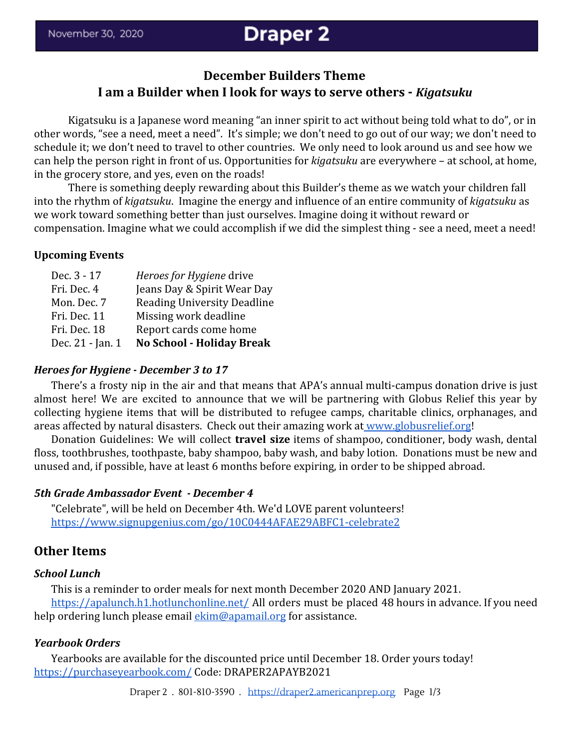# **December Builders Theme I am a Builder when I look for ways to serve others -** *Kigatsuku*

Kigatsuku is a Japanese word meaning "an inner spirit to act without being told what to do", or in other words, "see a need, meet a need". It's simple; we don't need to go out of our way; we don't need to schedule it; we don't need to travel to other countries. We only need to look around us and see how we can help the person right in front of us. Opportunities for *kigatsuku* are everywhere – at school, at home, in the grocery store, and yes, even on the roads!

There is something deeply rewarding about this Builder's theme as we watch your children fall into the rhythm of *kigatsuku*. Imagine the energy and influence of an entire community of *kigatsuku* as we work toward something better than just ourselves. Imagine doing it without reward or compensation. Imagine what we could accomplish if we did the simplest thing - see a need, meet a need!

#### **Upcoming Events**

| Dec. 3 - 17      | Heroes for Hygiene drive           |
|------------------|------------------------------------|
| Fri. Dec. 4      | Jeans Day & Spirit Wear Day        |
| Mon. Dec. 7      | <b>Reading University Deadline</b> |
| Fri. Dec. 11     | Missing work deadline              |
| Fri. Dec. 18     | Report cards come home             |
| Dec. 21 - Jan. 1 | <b>No School - Holiday Break</b>   |

#### *Heroes for Hygiene - December 3 to 17*

There's a frosty nip in the air and that means that APA's annual multi-campus donation drive is just almost here! We are excited to announce that we will be partnering with Globus Relief this year by collecting hygiene items that will be distributed to refugee camps, charitable clinics, orphanages, and areas affected by natural disasters. Check out their amazing work at [www.globusrelief.org](http://www.globusrelief.org/)!

Donation Guidelines: We will collect **travel size** items of shampoo, conditioner, body wash, dental floss, toothbrushes, toothpaste, baby shampoo, baby wash, and baby lotion. Donations must be new and unused and, if possible, have at least 6 months before expiring, in order to be shipped abroad.

#### *5th Grade Ambassador Event - December 4*

"Celebrate", will be held on December 4th. We'd LOVE parent volunteers! <https://www.signupgenius.com/go/10C0444AFAE29ABFC1-celebrate2>

# **Other Items**

#### *School Lunch*

This is a reminder to order meals for next month December 2020 AND January 2021. <https://apalunch.h1.hotlunchonline.net/> All orders must be placed 48 hours in advance. If you need help ordering lunch please email [ekim@apamail.org](mailto:ekim@apamail.org) for assistance.

#### *Yearbook Orders*

Yearbooks are available for the discounted price until December 18. Order yours today! <https://purchaseyearbook.com/> Code: DRAPER2APAYB2021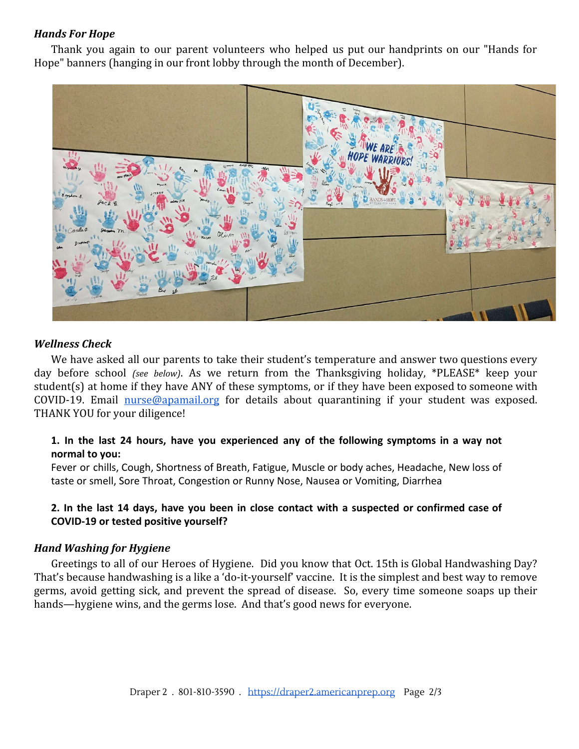# *Hands For Hope*

Thank you again to our parent volunteers who helped us put our handprints on our "Hands for Hope" banners (hanging in our front lobby through the month of December).



# *Wellness Check*

We have asked all our parents to take their student's temperature and answer two questions every day before school *(see below)*. As we return from the Thanksgiving holiday, \*PLEASE\* keep your student(s) at home if they have ANY of these symptoms, or if they have been exposed to someone with COVID-19. Email [nurse@apamail.org](mailto:nurse@apamail.org) for details about quarantining if your student was exposed. THANK YOU for your diligence!

# **1. In the last 24 hours, have you experienced any of the following symptoms in a way not normal to you:**

Fever or chills, Cough, Shortness of Breath, Fatigue, Muscle or body aches, Headache, New loss of taste or smell, Sore Throat, Congestion or Runny Nose, Nausea or Vomiting, Diarrhea

# 2. In the last 14 days, have you been in close contact with a suspected or confirmed case of **COVID-19 or tested positive yourself?**

# *Hand Washing for Hygiene*

Greetings to all of our Heroes of Hygiene. Did you know that Oct. 15th is Global Handwashing Day? That's because handwashing is a like a 'do-it-yourself' vaccine. It is the simplest and best way to remove germs, avoid getting sick, and prevent the spread of disease. So, every time someone soaps up their hands—hygiene wins, and the germs lose. And that's good news for everyone.